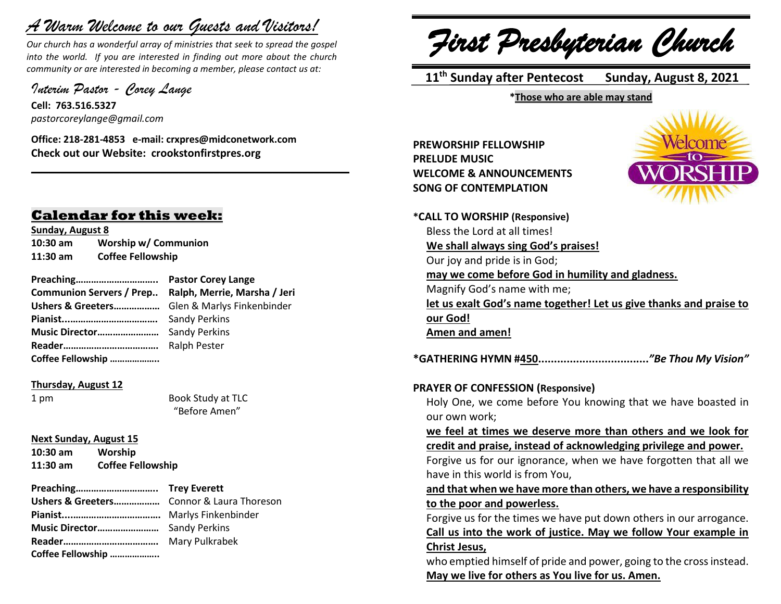# *A Warm Welcome to our Guests and Visitors!*

*Our church has a wonderful array of ministries that seek to spread the gospel into the world. If you are interested in finding out more about the church community or are interested in becoming a member, please contact us at:*

**\_\_\_\_\_\_\_\_\_\_\_\_\_\_\_\_\_\_\_\_\_\_\_\_\_\_\_\_\_\_\_\_\_\_\_\_\_\_\_\_\_\_\_\_\_\_\_\_\_\_\_\_\_\_**

*Interim Pastor - Corey Lange* 

**Cell: 763.516.5327** *pastorcoreylange@gmail.com*

**Office: 218-281-4853 e-mail: crxpres@midconetwork.com Check out our Website: crookstonfirstpres.org**

# **Calendar for this week:**

**Sunday, August 8 10:30 am Worship w/ Communion 11:30 am Coffee Fellowship**

**Preaching………………………….. Pastor Corey Lange Communion Servers / Prep.. Ralph, Merrie, Marsha / Jeri Ushers & Greeters………………** Glen & Marlys Finkenbinder **Pianist...…………………………….** Sandy Perkins **Music Director……………………** Sandy Perkins **Reader……………………………….** Ralph Pester **Coffee Fellowship ………………..**

**Thursday, August 12**

1 pm Book Study at TLC "Before Amen"

**Next Sunday, August 15**

**10:30 am Worship 11:30 am Coffee Fellowship**

**Preaching………………………….. Trey Everett Ushers & Greeters………………** Connor & Laura Thoreson **Pianist....…………………………….** Marlys Finkenbinder **Music Director……………………** Sandy Perkins **Reader……………………………….** Mary Pulkrabek **Coffee Fellowship ………………..**

*First Presbyterian Church*

 **11 th Sunday after Pentecost Sunday, August 8, 2021**

**\*Those who are able may stand**

**PREWORSHIP FELLOWSHIP PRELUDE MUSIC WELCOME & ANNOUNCEMENTS SONG OF CONTEMPLATION**



**\*CALL TO WORSHIP (Responsive)** Bless the Lord at all times! **We shall always sing God's praises!** Our joy and pride is in God; **may we come before God in humility and gladness.** Magnify God's name with me; **let us exalt God's name together! Let us give thanks and praise to our God! Amen and amen! \*GATHERING HYMN #450...................................***"Be Thou My Vision"*

**PRAYER OF CONFESSION (Responsive)**

Holy One, we come before You knowing that we have boasted in our own work;

**we feel at times we deserve more than others and we look for credit and praise, instead of acknowledging privilege and power.**

Forgive us for our ignorance, when we have forgotten that all we have in this world is from You,

**and that when we have more than others, we have a responsibility to the poor and powerless.**

Forgive us for the times we have put down others in our arrogance. **Call us into the work of justice. May we follow Your example in Christ Jesus,**

who emptied himself of pride and power, going to the cross instead. **May we live for others as You live for us. Amen.**